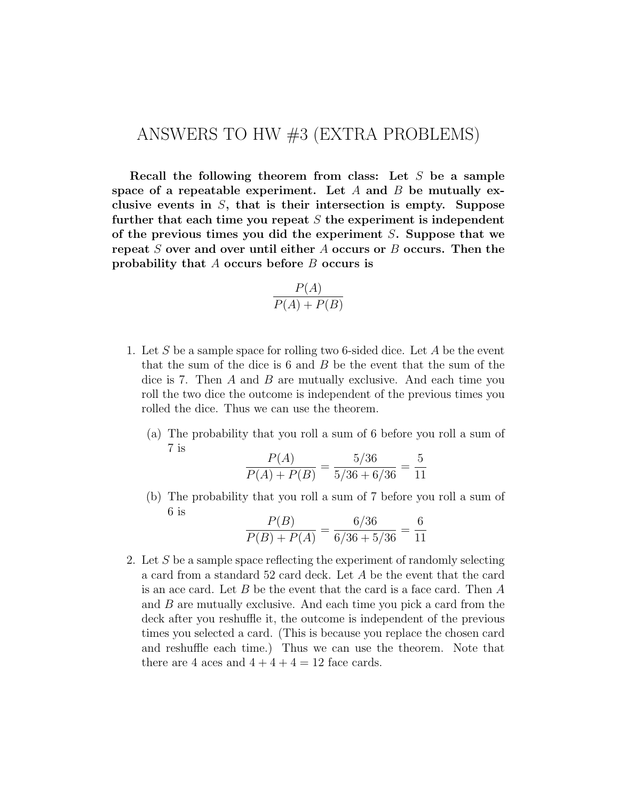## ANSWERS TO HW #3 (EXTRA PROBLEMS)

**Recall the following theorem from class: Let** *S* **be a sample space of a repeatable experiment. Let** *A* **and** *B* **be mutually exclusive events in** *S***, that is their intersection is empty. Suppose further that each time you repeat** *S* **the experiment is independent of the previous times you did the experiment** *S***. Suppose that we repeat** *S* **over and over until either** *A* **occurs or** *B* **occurs. Then the probability that** *A* **occurs before** *B* **occurs is**

$$
\frac{P(A)}{P(A) + P(B)}
$$

- 1. Let *S* be a sample space for rolling two 6-sided dice. Let *A* be the event that the sum of the dice is 6 and *B* be the event that the sum of the dice is 7. Then *A* and *B* are mutually exclusive. And each time you roll the two dice the outcome is independent of the previous times you rolled the dice. Thus we can use the theorem.
	- (a) The probability that you roll a sum of 6 before you roll a sum of 7 is *P*(*A*)  $5/36$

$$
\frac{P(A)}{P(A) + P(B)} = \frac{5/36}{5/36 + 6/36} = \frac{5}{11}
$$

(b) The probability that you roll a sum of 7 before you roll a sum of 6 is

$$
\frac{P(B)}{P(B) + P(A)} = \frac{6/36}{6/36 + 5/36} = \frac{6}{11}
$$

2. Let *S* be a sample space reflecting the experiment of randomly selecting a card from a standard 52 card deck. Let *A* be the event that the card is an ace card. Let *B* be the event that the card is a face card. Then *A* and *B* are mutually exclusive. And each time you pick a card from the deck after you reshuffle it, the outcome is independent of the previous times you selected a card. (This is because you replace the chosen card and reshuffle each time.) Thus we can use the theorem. Note that there are 4 aces and  $4+4+4=12$  face cards.